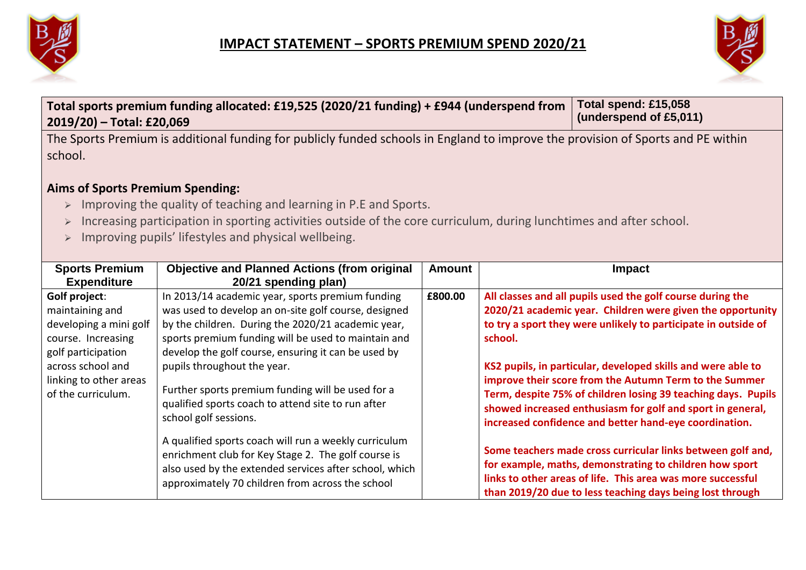



| Total sports premium funding allocated: £19,525 (2020/21 funding) + £944 (underspend from<br>2019/20) - Total: £20,069                                                                                                                                                                                                                                                                                           | Total spend: £15,058<br>(underspend of £5,011)                                                                                                                                                                                                                                                                                                                                                                         |               |         |                                                                                                                                                                                                                                                                                                                                                                                                                                                     |
|------------------------------------------------------------------------------------------------------------------------------------------------------------------------------------------------------------------------------------------------------------------------------------------------------------------------------------------------------------------------------------------------------------------|------------------------------------------------------------------------------------------------------------------------------------------------------------------------------------------------------------------------------------------------------------------------------------------------------------------------------------------------------------------------------------------------------------------------|---------------|---------|-----------------------------------------------------------------------------------------------------------------------------------------------------------------------------------------------------------------------------------------------------------------------------------------------------------------------------------------------------------------------------------------------------------------------------------------------------|
| The Sports Premium is additional funding for publicly funded schools in England to improve the provision of Sports and PE within<br>school.<br><b>Aims of Sports Premium Spending:</b><br>Improving the quality of teaching and learning in P.E and Sports.<br>$\blacktriangleright$<br>Increasing participation in sporting activities outside of the core curriculum, during lunchtimes and after school.<br>➤ |                                                                                                                                                                                                                                                                                                                                                                                                                        |               |         |                                                                                                                                                                                                                                                                                                                                                                                                                                                     |
| Improving pupils' lifestyles and physical wellbeing.<br>$\blacktriangleright$                                                                                                                                                                                                                                                                                                                                    |                                                                                                                                                                                                                                                                                                                                                                                                                        |               |         |                                                                                                                                                                                                                                                                                                                                                                                                                                                     |
| <b>Sports Premium</b><br><b>Expenditure</b>                                                                                                                                                                                                                                                                                                                                                                      | <b>Objective and Planned Actions (from original</b><br>20/21 spending plan)                                                                                                                                                                                                                                                                                                                                            | <b>Amount</b> |         | Impact                                                                                                                                                                                                                                                                                                                                                                                                                                              |
| Golf project:<br>maintaining and<br>developing a mini golf<br>course. Increasing<br>golf participation<br>across school and<br>linking to other areas<br>of the curriculum.                                                                                                                                                                                                                                      | In 2013/14 academic year, sports premium funding<br>was used to develop an on-site golf course, designed<br>by the children. During the 2020/21 academic year,<br>sports premium funding will be used to maintain and<br>develop the golf course, ensuring it can be used by<br>pupils throughout the year.<br>Further sports premium funding will be used for a<br>qualified sports coach to attend site to run after | £800.00       | school. | All classes and all pupils used the golf course during the<br>2020/21 academic year. Children were given the opportunity<br>to try a sport they were unlikely to participate in outside of<br>KS2 pupils, in particular, developed skills and were able to<br>improve their score from the Autumn Term to the Summer<br>Term, despite 75% of children losing 39 teaching days. Pupils<br>showed increased enthusiasm for golf and sport in general, |
|                                                                                                                                                                                                                                                                                                                                                                                                                  | school golf sessions.<br>A qualified sports coach will run a weekly curriculum<br>enrichment club for Key Stage 2. The golf course is<br>also used by the extended services after school, which<br>approximately 70 children from across the school                                                                                                                                                                    |               |         | increased confidence and better hand-eye coordination.<br>Some teachers made cross curricular links between golf and,<br>for example, maths, demonstrating to children how sport<br>links to other areas of life. This area was more successful<br>than 2019/20 due to less teaching days being lost through                                                                                                                                        |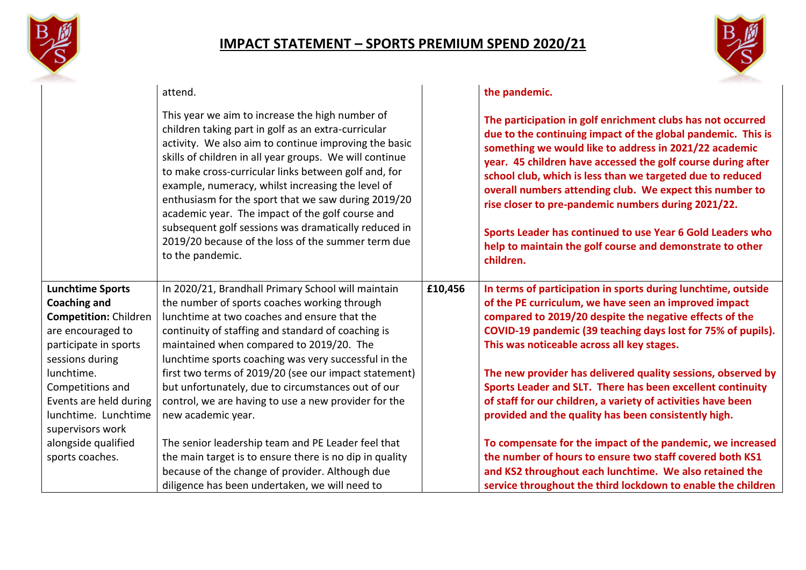



|                                | attend.                                                                                                                                                                                                                                                                                                                                                                                                                                                                                                                                                                              |         | the pandemic.                                                                                                                                                                                                                                                                                                                                                                                                                                                                                                                                                                  |
|--------------------------------|--------------------------------------------------------------------------------------------------------------------------------------------------------------------------------------------------------------------------------------------------------------------------------------------------------------------------------------------------------------------------------------------------------------------------------------------------------------------------------------------------------------------------------------------------------------------------------------|---------|--------------------------------------------------------------------------------------------------------------------------------------------------------------------------------------------------------------------------------------------------------------------------------------------------------------------------------------------------------------------------------------------------------------------------------------------------------------------------------------------------------------------------------------------------------------------------------|
|                                | This year we aim to increase the high number of<br>children taking part in golf as an extra-curricular<br>activity. We also aim to continue improving the basic<br>skills of children in all year groups. We will continue<br>to make cross-curricular links between golf and, for<br>example, numeracy, whilst increasing the level of<br>enthusiasm for the sport that we saw during 2019/20<br>academic year. The impact of the golf course and<br>subsequent golf sessions was dramatically reduced in<br>2019/20 because of the loss of the summer term due<br>to the pandemic. |         | The participation in golf enrichment clubs has not occurred<br>due to the continuing impact of the global pandemic. This is<br>something we would like to address in 2021/22 academic<br>year. 45 children have accessed the golf course during after<br>school club, which is less than we targeted due to reduced<br>overall numbers attending club. We expect this number to<br>rise closer to pre-pandemic numbers during 2021/22.<br>Sports Leader has continued to use Year 6 Gold Leaders who<br>help to maintain the golf course and demonstrate to other<br>children. |
| <b>Lunchtime Sports</b>        | In 2020/21, Brandhall Primary School will maintain                                                                                                                                                                                                                                                                                                                                                                                                                                                                                                                                   | £10,456 | In terms of participation in sports during lunchtime, outside                                                                                                                                                                                                                                                                                                                                                                                                                                                                                                                  |
| <b>Coaching and</b>            | the number of sports coaches working through                                                                                                                                                                                                                                                                                                                                                                                                                                                                                                                                         |         | of the PE curriculum, we have seen an improved impact                                                                                                                                                                                                                                                                                                                                                                                                                                                                                                                          |
| <b>Competition: Children</b>   | lunchtime at two coaches and ensure that the                                                                                                                                                                                                                                                                                                                                                                                                                                                                                                                                         |         | compared to 2019/20 despite the negative effects of the                                                                                                                                                                                                                                                                                                                                                                                                                                                                                                                        |
| are encouraged to              | continuity of staffing and standard of coaching is                                                                                                                                                                                                                                                                                                                                                                                                                                                                                                                                   |         | COVID-19 pandemic (39 teaching days lost for 75% of pupils).                                                                                                                                                                                                                                                                                                                                                                                                                                                                                                                   |
| participate in sports          | maintained when compared to 2019/20. The                                                                                                                                                                                                                                                                                                                                                                                                                                                                                                                                             |         | This was noticeable across all key stages.                                                                                                                                                                                                                                                                                                                                                                                                                                                                                                                                     |
| sessions during                | lunchtime sports coaching was very successful in the                                                                                                                                                                                                                                                                                                                                                                                                                                                                                                                                 |         |                                                                                                                                                                                                                                                                                                                                                                                                                                                                                                                                                                                |
| lunchtime.<br>Competitions and | first two terms of 2019/20 (see our impact statement)<br>but unfortunately, due to circumstances out of our                                                                                                                                                                                                                                                                                                                                                                                                                                                                          |         | The new provider has delivered quality sessions, observed by<br>Sports Leader and SLT. There has been excellent continuity                                                                                                                                                                                                                                                                                                                                                                                                                                                     |
| Events are held during         | control, we are having to use a new provider for the                                                                                                                                                                                                                                                                                                                                                                                                                                                                                                                                 |         | of staff for our children, a variety of activities have been                                                                                                                                                                                                                                                                                                                                                                                                                                                                                                                   |
| lunchtime. Lunchtime           | new academic year.                                                                                                                                                                                                                                                                                                                                                                                                                                                                                                                                                                   |         | provided and the quality has been consistently high.                                                                                                                                                                                                                                                                                                                                                                                                                                                                                                                           |
| supervisors work               |                                                                                                                                                                                                                                                                                                                                                                                                                                                                                                                                                                                      |         |                                                                                                                                                                                                                                                                                                                                                                                                                                                                                                                                                                                |
| alongside qualified            | The senior leadership team and PE Leader feel that                                                                                                                                                                                                                                                                                                                                                                                                                                                                                                                                   |         | To compensate for the impact of the pandemic, we increased                                                                                                                                                                                                                                                                                                                                                                                                                                                                                                                     |
| sports coaches.                | the main target is to ensure there is no dip in quality                                                                                                                                                                                                                                                                                                                                                                                                                                                                                                                              |         | the number of hours to ensure two staff covered both KS1                                                                                                                                                                                                                                                                                                                                                                                                                                                                                                                       |
|                                | because of the change of provider. Although due                                                                                                                                                                                                                                                                                                                                                                                                                                                                                                                                      |         | and KS2 throughout each lunchtime. We also retained the                                                                                                                                                                                                                                                                                                                                                                                                                                                                                                                        |
|                                | diligence has been undertaken, we will need to                                                                                                                                                                                                                                                                                                                                                                                                                                                                                                                                       |         | service throughout the third lockdown to enable the children                                                                                                                                                                                                                                                                                                                                                                                                                                                                                                                   |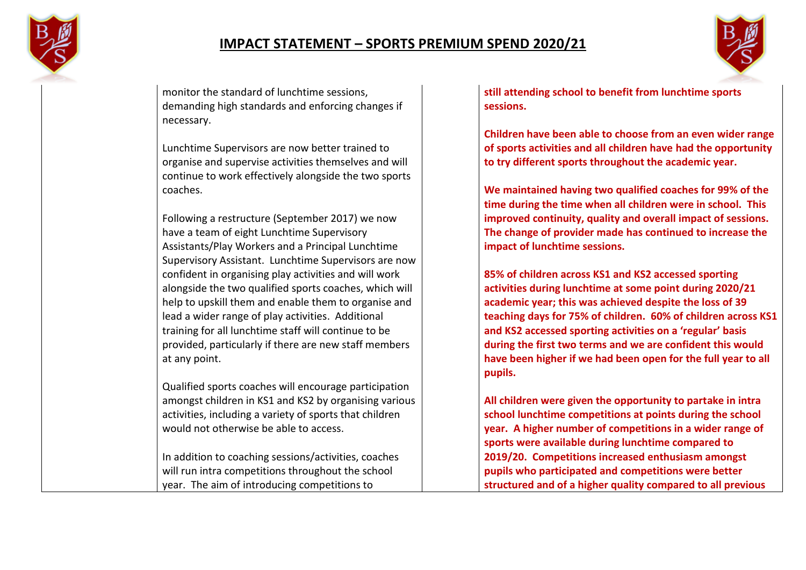



monitor the standard of lunchtime sessions, demanding high standards and enforcing changes if necessary.

Lunchtime Supervisors are now better trained to organise and supervise activities themselves and will continue to work effectively alongside the two sports coaches.

Following a restructure (September 2017) we now have a team of eight Lunchtime Supervisory Assistants/Play Workers and a Principal Lunchtime Supervisory Assistant. Lunchtime Supervisors are now confident in organising play activities and will work alongside the two qualified sports coaches, which will help to upskill them and enable them to organise and lead a wider range of play activities. Additional training for all lunchtime staff will continue to be provided, particularly if there are new staff members at any point.

Qualified sports coaches will encourage participation amongst children in KS1 and KS2 by organising various activities, including a variety of sports that children would not otherwise be able to access.

In addition to coaching sessions/activities, coaches will run intra competitions throughout the school year. The aim of introducing competitions to

**still attending school to benefit from lunchtime sports sessions.**

**Children have been able to choose from an even wider range of sports activities and all children have had the opportunity to try different sports throughout the academic year.**

**We maintained having two qualified coaches for 99% of the time during the time when all children were in school. This improved continuity, quality and overall impact of sessions. The change of provider made has continued to increase the impact of lunchtime sessions.**

**85% of children across KS1 and KS2 accessed sporting activities during lunchtime at some point during 2020/21 academic year; this was achieved despite the loss of 39 teaching days for 75% of children. 60% of children across KS1 and KS2 accessed sporting activities on a 'regular' basis during the first two terms and we are confident this would have been higher if we had been open for the full year to all pupils.**

**All children were given the opportunity to partake in intra school lunchtime competitions at points during the school year. A higher number of competitions in a wider range of sports were available during lunchtime compared to 2019/20. Competitions increased enthusiasm amongst pupils who participated and competitions were better structured and of a higher quality compared to all previous**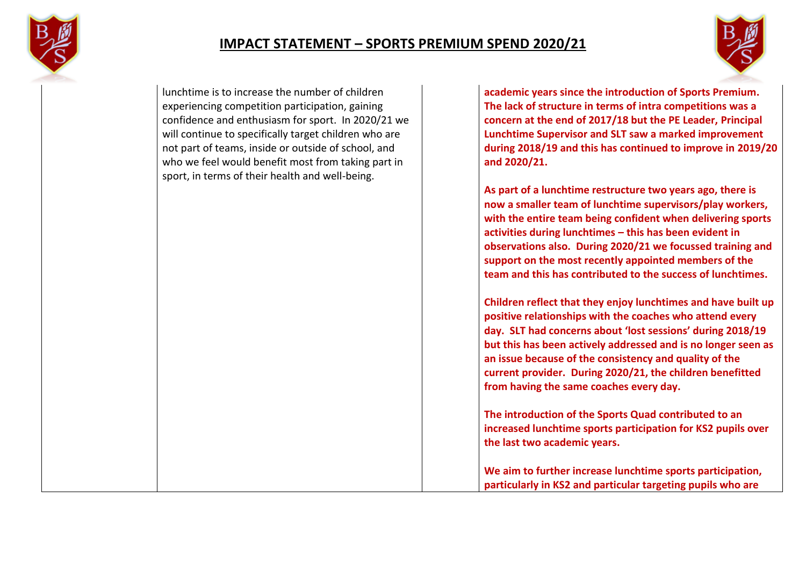



lunchtime is to increase the number of children experiencing competition participation, gaining confidence and enthusiasm for sport. In 2020/21 we will continue to specifically target children who are not part of teams, inside or outside of school, and who we feel would benefit most from taking part in sport, in terms of their health and well-being.

**academic years since the introduction of Sports Premium. The lack of structure in terms of intra competitions was a concern at the end of 2017/18 but the PE Leader, Principal Lunchtime Supervisor and SLT saw a marked improvement during 2018/19 and this has continued to improve in 2019/20 and 2020/21.**

**As part of a lunchtime restructure two years ago, there is now a smaller team of lunchtime supervisors/play workers, with the entire team being confident when delivering sports activities during lunchtimes – this has been evident in observations also. During 2020/21 we focussed training and support on the most recently appointed members of the team and this has contributed to the success of lunchtimes.**

**Children reflect that they enjoy lunchtimes and have built up positive relationships with the coaches who attend every day. SLT had concerns about 'lost sessions' during 2018/19 but this has been actively addressed and is no longer seen as an issue because of the consistency and quality of the current provider. During 2020/21, the children benefitted from having the same coaches every day.**

**The introduction of the Sports Quad contributed to an increased lunchtime sports participation for KS2 pupils over the last two academic years.**

**We aim to further increase lunchtime sports participation, particularly in KS2 and particular targeting pupils who are**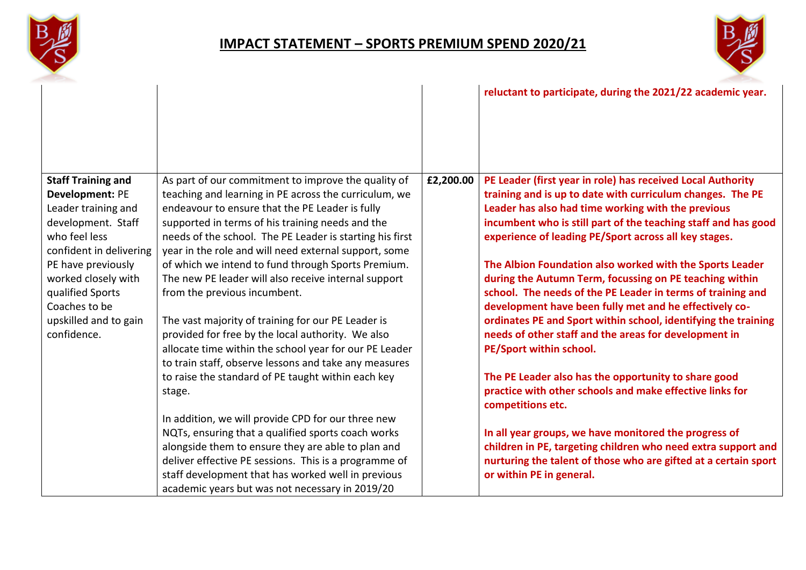



|                                                                                                                                                                                                                                                                        |                                                                                                                                                                                                                                                                                                                                                                                                                                                                                                                                                                                                                                                                                                                      |           | reluctant to participate, during the 2021/22 academic year.                                                                                                                                                                                                                                                                                                                                                                                                                                                                                                                                                                                                                                                      |
|------------------------------------------------------------------------------------------------------------------------------------------------------------------------------------------------------------------------------------------------------------------------|----------------------------------------------------------------------------------------------------------------------------------------------------------------------------------------------------------------------------------------------------------------------------------------------------------------------------------------------------------------------------------------------------------------------------------------------------------------------------------------------------------------------------------------------------------------------------------------------------------------------------------------------------------------------------------------------------------------------|-----------|------------------------------------------------------------------------------------------------------------------------------------------------------------------------------------------------------------------------------------------------------------------------------------------------------------------------------------------------------------------------------------------------------------------------------------------------------------------------------------------------------------------------------------------------------------------------------------------------------------------------------------------------------------------------------------------------------------------|
| <b>Staff Training and</b><br><b>Development: PE</b><br>Leader training and<br>development. Staff<br>who feel less<br>confident in delivering<br>PE have previously<br>worked closely with<br>qualified Sports<br>Coaches to be<br>upskilled and to gain<br>confidence. | As part of our commitment to improve the quality of<br>teaching and learning in PE across the curriculum, we<br>endeavour to ensure that the PE Leader is fully<br>supported in terms of his training needs and the<br>needs of the school. The PE Leader is starting his first<br>year in the role and will need external support, some<br>of which we intend to fund through Sports Premium.<br>The new PE leader will also receive internal support<br>from the previous incumbent.<br>The vast majority of training for our PE Leader is<br>provided for free by the local authority. We also<br>allocate time within the school year for our PE Leader<br>to train staff, observe lessons and take any measures | £2,200.00 | PE Leader (first year in role) has received Local Authority<br>training and is up to date with curriculum changes. The PE<br>Leader has also had time working with the previous<br>incumbent who is still part of the teaching staff and has good<br>experience of leading PE/Sport across all key stages.<br>The Albion Foundation also worked with the Sports Leader<br>during the Autumn Term, focussing on PE teaching within<br>school. The needs of the PE Leader in terms of training and<br>development have been fully met and he effectively co-<br>ordinates PE and Sport within school, identifying the training<br>needs of other staff and the areas for development in<br>PE/Sport within school. |
|                                                                                                                                                                                                                                                                        | to raise the standard of PE taught within each key<br>stage.<br>In addition, we will provide CPD for our three new<br>NQTs, ensuring that a qualified sports coach works<br>alongside them to ensure they are able to plan and<br>deliver effective PE sessions. This is a programme of                                                                                                                                                                                                                                                                                                                                                                                                                              |           | The PE Leader also has the opportunity to share good<br>practice with other schools and make effective links for<br>competitions etc.<br>In all year groups, we have monitored the progress of<br>children in PE, targeting children who need extra support and<br>nurturing the talent of those who are gifted at a certain sport                                                                                                                                                                                                                                                                                                                                                                               |
|                                                                                                                                                                                                                                                                        | staff development that has worked well in previous<br>academic years but was not necessary in 2019/20                                                                                                                                                                                                                                                                                                                                                                                                                                                                                                                                                                                                                |           | or within PE in general.                                                                                                                                                                                                                                                                                                                                                                                                                                                                                                                                                                                                                                                                                         |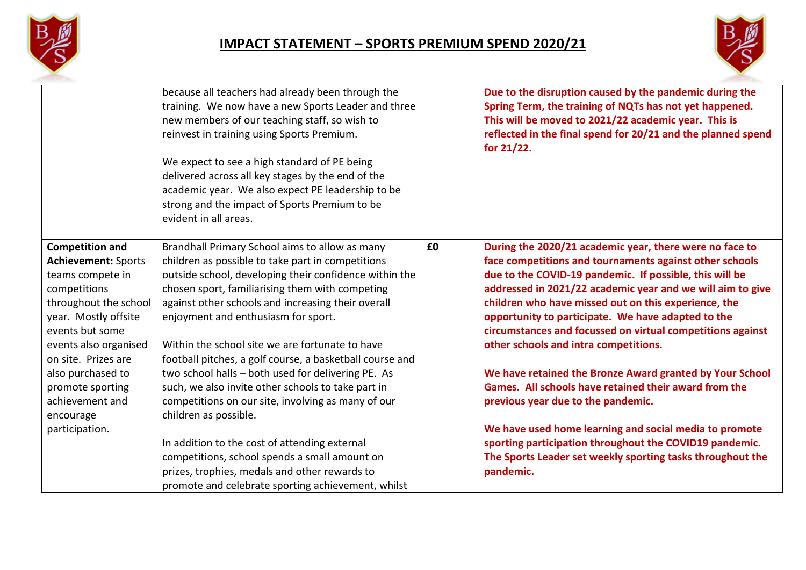



|                                                                                                                                                                                                              | because all teachers had already been through the<br>training. We now have a new Sports Leader and three<br>new members of our teaching staff, so wish to<br>reinvest in training using Sports Premium.<br>We expect to see a high standard of PE being<br>delivered across all key stages by the end of the<br>academic year. We also expect PE leadership to be<br>strong and the impact of Sports Premium to be<br>evident in all areas. |    | Due to the disruption caused by the pandemic during the<br>Spring Term, the training of NQTs has not yet happened.<br>This will be moved to 2021/22 academic year. This is<br>reflected in the final spend for 20/21 and the planned spend<br>for $21/22$ .                                                                                                                                                                                                      |
|--------------------------------------------------------------------------------------------------------------------------------------------------------------------------------------------------------------|---------------------------------------------------------------------------------------------------------------------------------------------------------------------------------------------------------------------------------------------------------------------------------------------------------------------------------------------------------------------------------------------------------------------------------------------|----|------------------------------------------------------------------------------------------------------------------------------------------------------------------------------------------------------------------------------------------------------------------------------------------------------------------------------------------------------------------------------------------------------------------------------------------------------------------|
| <b>Competition and</b><br><b>Achievement: Sports</b><br>teams compete in<br>competitions<br>throughout the school<br>year. Mostly offsite<br>events but some<br>events also organised<br>on site. Prizes are | Brandhall Primary School aims to allow as many<br>children as possible to take part in competitions<br>outside school, developing their confidence within the<br>chosen sport, familiarising them with competing<br>against other schools and increasing their overall<br>enjoyment and enthusiasm for sport.<br>Within the school site we are fortunate to have<br>football pitches, a golf course, a basketball course and                | £0 | During the 2020/21 academic year, there were no face to<br>face competitions and tournaments against other schools<br>due to the COVID-19 pandemic. If possible, this will be<br>addressed in 2021/22 academic year and we will aim to give<br>children who have missed out on this experience, the<br>opportunity to participate. We have adapted to the<br>circumstances and focussed on virtual competitions against<br>other schools and intra competitions. |
| also purchased to<br>promote sporting<br>achievement and<br>encourage                                                                                                                                        | two school halls - both used for delivering PE. As<br>such, we also invite other schools to take part in<br>competitions on our site, involving as many of our<br>children as possible.                                                                                                                                                                                                                                                     |    | We have retained the Bronze Award granted by Your School<br>Games. All schools have retained their award from the<br>previous year due to the pandemic.                                                                                                                                                                                                                                                                                                          |
| participation.                                                                                                                                                                                               | In addition to the cost of attending external<br>competitions, school spends a small amount on<br>prizes, trophies, medals and other rewards to<br>promote and celebrate sporting achievement, whilst                                                                                                                                                                                                                                       |    | We have used home learning and social media to promote<br>sporting participation throughout the COVID19 pandemic.<br>The Sports Leader set weekly sporting tasks throughout the<br>pandemic.                                                                                                                                                                                                                                                                     |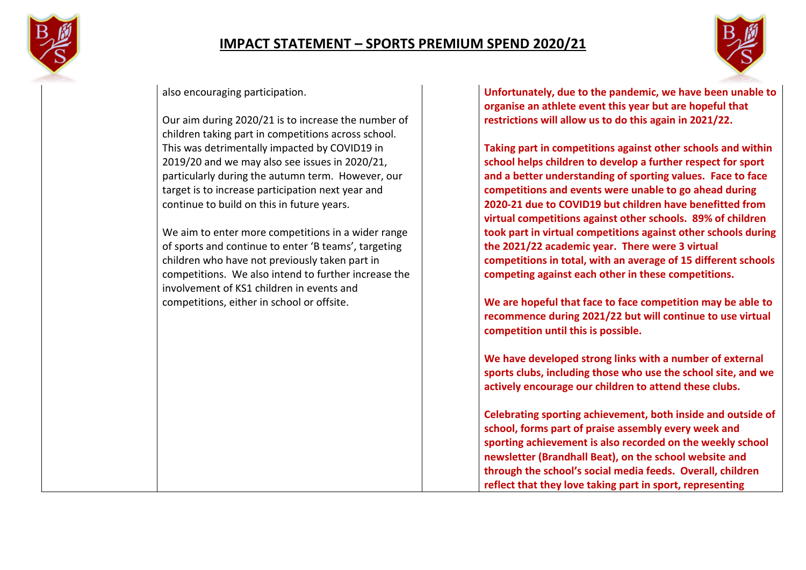



#### also encouraging participation.

Our aim during 2020/21 is to increase the number of children taking part in competitions across school. This was detrimentally impacted by COVID19 in 2019/20 and we may also see issues in 2020/21, particularly during the autumn term. However, our target is to increase participation next year and continue to build on this in future years.

We aim to enter more competitions in a wider range of sports and continue to enter 'B teams', targeting children who have not previously taken part in competitions. We also intend to further increase the involvement of KS1 children in events and competitions, either in school or offsite.

**Unfortunately, due to the pandemic, we have been unable to organise an athlete event this year but are hopeful that restrictions will allow us to do this again in 2021/22.**

**Taking part in competitions against other schools and within school helps children to develop a further respect for sport and a better understanding of sporting values. Face to face competitions and events were unable to go ahead during 2020-21 due to COVID19 but children have benefitted from virtual competitions against other schools. 89% of children took part in virtual competitions against other schools during the 2021/22 academic year. There were 3 virtual competitions in total, with an average of 15 different schools competing against each other in these competitions.**

**We are hopeful that face to face competition may be able to recommence during 2021/22 but will continue to use virtual competition until this is possible.**

**We have developed strong links with a number of external sports clubs, including those who use the school site, and we actively encourage our children to attend these clubs.**

**Celebrating sporting achievement, both inside and outside of school, forms part of praise assembly every week and sporting achievement is also recorded on the weekly school newsletter (Brandhall Beat), on the school website and through the school's social media feeds. Overall, children reflect that they love taking part in sport, representing**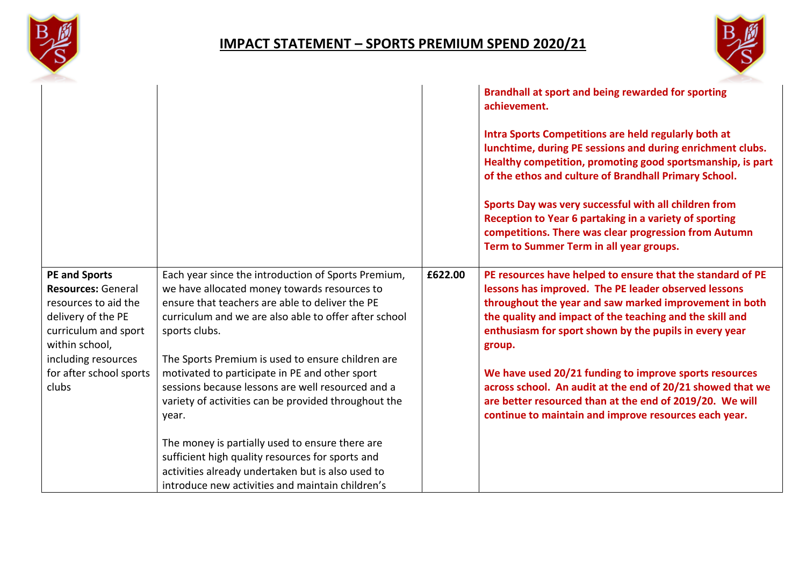



|                                                                                                                                                                                                      |                                                                                                                                                                                                                                                                                                                                                                                                                                                               |         | Brandhall at sport and being rewarded for sporting<br>achievement.<br>Intra Sports Competitions are held regularly both at<br>lunchtime, during PE sessions and during enrichment clubs.<br>Healthy competition, promoting good sportsmanship, is part<br>of the ethos and culture of Brandhall Primary School.<br>Sports Day was very successful with all children from<br>Reception to Year 6 partaking in a variety of sporting<br>competitions. There was clear progression from Autumn<br>Term to Summer Term in all year groups.                    |
|------------------------------------------------------------------------------------------------------------------------------------------------------------------------------------------------------|---------------------------------------------------------------------------------------------------------------------------------------------------------------------------------------------------------------------------------------------------------------------------------------------------------------------------------------------------------------------------------------------------------------------------------------------------------------|---------|-----------------------------------------------------------------------------------------------------------------------------------------------------------------------------------------------------------------------------------------------------------------------------------------------------------------------------------------------------------------------------------------------------------------------------------------------------------------------------------------------------------------------------------------------------------|
| <b>PE and Sports</b><br><b>Resources: General</b><br>resources to aid the<br>delivery of the PE<br>curriculum and sport<br>within school,<br>including resources<br>for after school sports<br>clubs | Each year since the introduction of Sports Premium,<br>we have allocated money towards resources to<br>ensure that teachers are able to deliver the PE<br>curriculum and we are also able to offer after school<br>sports clubs.<br>The Sports Premium is used to ensure children are<br>motivated to participate in PE and other sport<br>sessions because lessons are well resourced and a<br>variety of activities can be provided throughout the<br>year. | £622.00 | PE resources have helped to ensure that the standard of PE<br>lessons has improved. The PE leader observed lessons<br>throughout the year and saw marked improvement in both<br>the quality and impact of the teaching and the skill and<br>enthusiasm for sport shown by the pupils in every year<br>group.<br>We have used 20/21 funding to improve sports resources<br>across school. An audit at the end of 20/21 showed that we<br>are better resourced than at the end of 2019/20. We will<br>continue to maintain and improve resources each year. |
|                                                                                                                                                                                                      | The money is partially used to ensure there are<br>sufficient high quality resources for sports and<br>activities already undertaken but is also used to<br>introduce new activities and maintain children's                                                                                                                                                                                                                                                  |         |                                                                                                                                                                                                                                                                                                                                                                                                                                                                                                                                                           |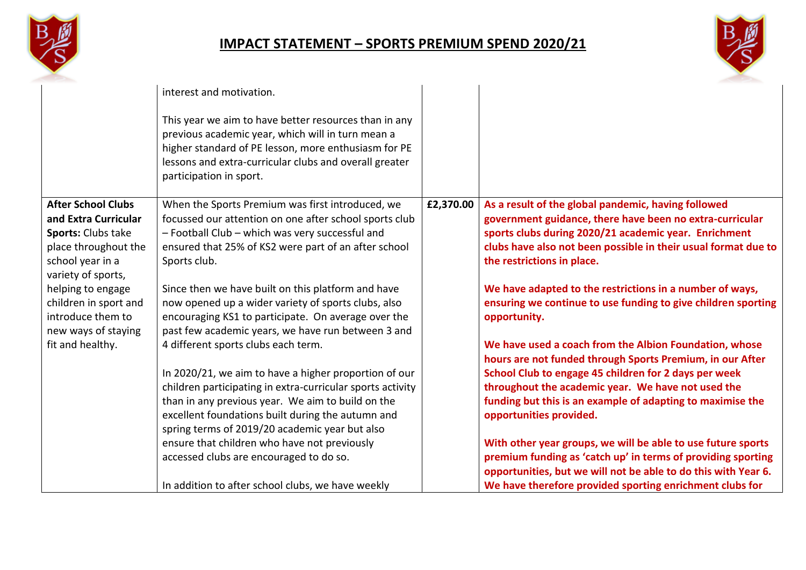



|                                        | interest and motivation.                                                                                                                                                                                                                                |           |                                                                                                                  |
|----------------------------------------|---------------------------------------------------------------------------------------------------------------------------------------------------------------------------------------------------------------------------------------------------------|-----------|------------------------------------------------------------------------------------------------------------------|
|                                        |                                                                                                                                                                                                                                                         |           |                                                                                                                  |
|                                        | This year we aim to have better resources than in any<br>previous academic year, which will in turn mean a<br>higher standard of PE lesson, more enthusiasm for PE<br>lessons and extra-curricular clubs and overall greater<br>participation in sport. |           |                                                                                                                  |
| <b>After School Clubs</b>              | When the Sports Premium was first introduced, we                                                                                                                                                                                                        | £2,370.00 | As a result of the global pandemic, having followed                                                              |
| and Extra Curricular                   | focussed our attention on one after school sports club                                                                                                                                                                                                  |           | government guidance, there have been no extra-curricular                                                         |
| Sports: Clubs take                     | - Football Club - which was very successful and                                                                                                                                                                                                         |           | sports clubs during 2020/21 academic year. Enrichment                                                            |
| place throughout the                   | ensured that 25% of KS2 were part of an after school                                                                                                                                                                                                    |           | clubs have also not been possible in their usual format due to                                                   |
| school year in a<br>variety of sports, | Sports club.                                                                                                                                                                                                                                            |           | the restrictions in place.                                                                                       |
| helping to engage                      | Since then we have built on this platform and have                                                                                                                                                                                                      |           | We have adapted to the restrictions in a number of ways,                                                         |
| children in sport and                  | now opened up a wider variety of sports clubs, also                                                                                                                                                                                                     |           | ensuring we continue to use funding to give children sporting                                                    |
| introduce them to                      | encouraging KS1 to participate. On average over the                                                                                                                                                                                                     |           | opportunity.                                                                                                     |
| new ways of staying                    | past few academic years, we have run between 3 and                                                                                                                                                                                                      |           |                                                                                                                  |
| fit and healthy.                       | 4 different sports clubs each term.                                                                                                                                                                                                                     |           | We have used a coach from the Albion Foundation, whose                                                           |
|                                        |                                                                                                                                                                                                                                                         |           | hours are not funded through Sports Premium, in our After                                                        |
|                                        | In 2020/21, we aim to have a higher proportion of our                                                                                                                                                                                                   |           | School Club to engage 45 children for 2 days per week                                                            |
|                                        | children participating in extra-curricular sports activity<br>than in any previous year. We aim to build on the                                                                                                                                         |           | throughout the academic year. We have not used the<br>funding but this is an example of adapting to maximise the |
|                                        | excellent foundations built during the autumn and                                                                                                                                                                                                       |           | opportunities provided.                                                                                          |
|                                        | spring terms of 2019/20 academic year but also                                                                                                                                                                                                          |           |                                                                                                                  |
|                                        | ensure that children who have not previously                                                                                                                                                                                                            |           | With other year groups, we will be able to use future sports                                                     |
|                                        | accessed clubs are encouraged to do so.                                                                                                                                                                                                                 |           | premium funding as 'catch up' in terms of providing sporting                                                     |
|                                        |                                                                                                                                                                                                                                                         |           | opportunities, but we will not be able to do this with Year 6.                                                   |
|                                        | In addition to after school clubs, we have weekly                                                                                                                                                                                                       |           | We have therefore provided sporting enrichment clubs for                                                         |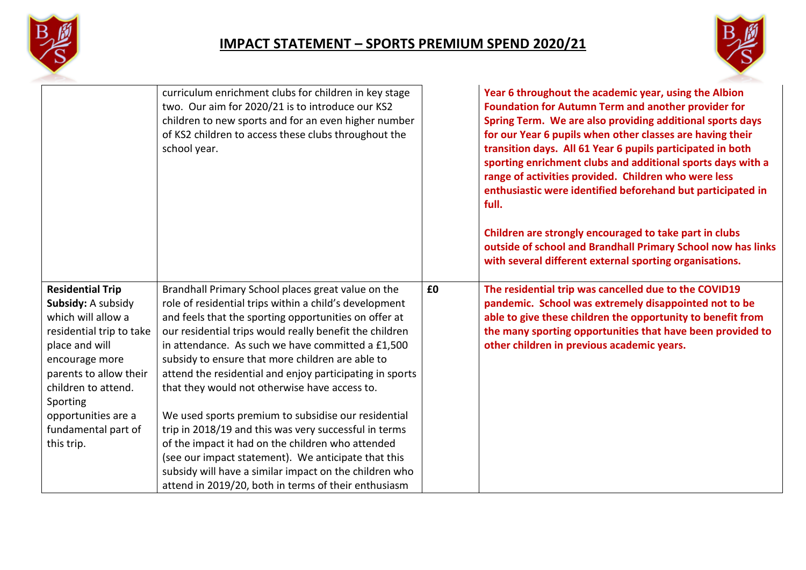



|                                                                                                                                                                                                                                                | curriculum enrichment clubs for children in key stage<br>two. Our aim for 2020/21 is to introduce our KS2<br>children to new sports and for an even higher number<br>of KS2 children to access these clubs throughout the<br>school year.                                                                                                                                                                                                                                                                                                                              |    | Year 6 throughout the academic year, using the Albion<br><b>Foundation for Autumn Term and another provider for</b><br>Spring Term. We are also providing additional sports days<br>for our Year 6 pupils when other classes are having their<br>transition days. All 61 Year 6 pupils participated in both<br>sporting enrichment clubs and additional sports days with a<br>range of activities provided. Children who were less<br>enthusiastic were identified beforehand but participated in<br>full.<br>Children are strongly encouraged to take part in clubs<br>outside of school and Brandhall Primary School now has links<br>with several different external sporting organisations. |
|------------------------------------------------------------------------------------------------------------------------------------------------------------------------------------------------------------------------------------------------|------------------------------------------------------------------------------------------------------------------------------------------------------------------------------------------------------------------------------------------------------------------------------------------------------------------------------------------------------------------------------------------------------------------------------------------------------------------------------------------------------------------------------------------------------------------------|----|-------------------------------------------------------------------------------------------------------------------------------------------------------------------------------------------------------------------------------------------------------------------------------------------------------------------------------------------------------------------------------------------------------------------------------------------------------------------------------------------------------------------------------------------------------------------------------------------------------------------------------------------------------------------------------------------------|
| <b>Residential Trip</b><br>Subsidy: A subsidy<br>which will allow a<br>residential trip to take<br>place and will<br>encourage more<br>parents to allow their<br>children to attend.<br>Sporting<br>opportunities are a<br>fundamental part of | Brandhall Primary School places great value on the<br>role of residential trips within a child's development<br>and feels that the sporting opportunities on offer at<br>our residential trips would really benefit the children<br>in attendance. As such we have committed a £1,500<br>subsidy to ensure that more children are able to<br>attend the residential and enjoy participating in sports<br>that they would not otherwise have access to.<br>We used sports premium to subsidise our residential<br>trip in 2018/19 and this was very successful in terms | £0 | The residential trip was cancelled due to the COVID19<br>pandemic. School was extremely disappointed not to be<br>able to give these children the opportunity to benefit from<br>the many sporting opportunities that have been provided to<br>other children in previous academic years.                                                                                                                                                                                                                                                                                                                                                                                                       |
| this trip.                                                                                                                                                                                                                                     | of the impact it had on the children who attended<br>(see our impact statement). We anticipate that this<br>subsidy will have a similar impact on the children who<br>attend in 2019/20, both in terms of their enthusiasm                                                                                                                                                                                                                                                                                                                                             |    |                                                                                                                                                                                                                                                                                                                                                                                                                                                                                                                                                                                                                                                                                                 |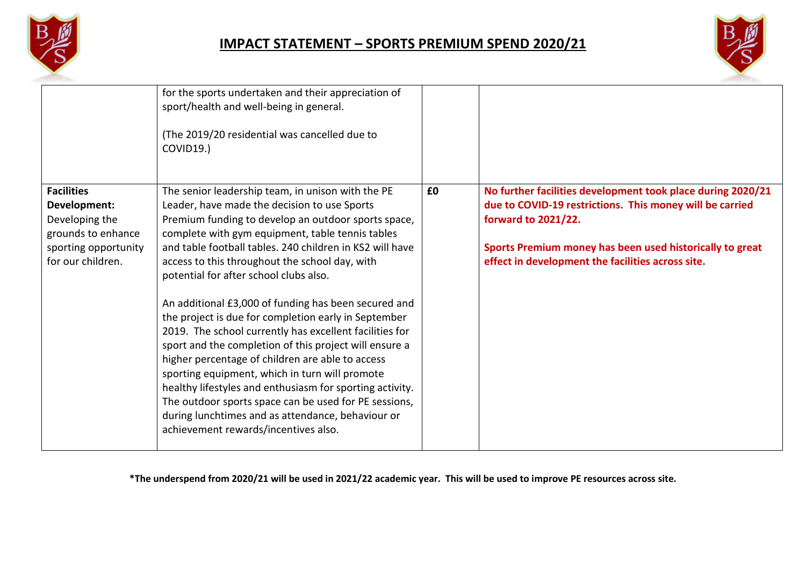



|                                                                                                                        | for the sports undertaken and their appreciation of<br>sport/health and well-being in general.                                                                                                                                                                                                                                                                                                                                                                                                                                                                                                                                                                                                                                                                                                                                                                                                                                    |    |                                                                                                                                                                                                                                                                        |
|------------------------------------------------------------------------------------------------------------------------|-----------------------------------------------------------------------------------------------------------------------------------------------------------------------------------------------------------------------------------------------------------------------------------------------------------------------------------------------------------------------------------------------------------------------------------------------------------------------------------------------------------------------------------------------------------------------------------------------------------------------------------------------------------------------------------------------------------------------------------------------------------------------------------------------------------------------------------------------------------------------------------------------------------------------------------|----|------------------------------------------------------------------------------------------------------------------------------------------------------------------------------------------------------------------------------------------------------------------------|
|                                                                                                                        | (The 2019/20 residential was cancelled due to<br>COVID19.)                                                                                                                                                                                                                                                                                                                                                                                                                                                                                                                                                                                                                                                                                                                                                                                                                                                                        |    |                                                                                                                                                                                                                                                                        |
| <b>Facilities</b><br>Development:<br>Developing the<br>grounds to enhance<br>sporting opportunity<br>for our children. | The senior leadership team, in unison with the PE<br>Leader, have made the decision to use Sports<br>Premium funding to develop an outdoor sports space,<br>complete with gym equipment, table tennis tables<br>and table football tables. 240 children in KS2 will have<br>access to this throughout the school day, with<br>potential for after school clubs also.<br>An additional £3,000 of funding has been secured and<br>the project is due for completion early in September<br>2019. The school currently has excellent facilities for<br>sport and the completion of this project will ensure a<br>higher percentage of children are able to access<br>sporting equipment, which in turn will promote<br>healthy lifestyles and enthusiasm for sporting activity.<br>The outdoor sports space can be used for PE sessions,<br>during lunchtimes and as attendance, behaviour or<br>achievement rewards/incentives also. | £0 | No further facilities development took place during 2020/21<br>due to COVID-19 restrictions. This money will be carried<br><b>forward to 2021/22.</b><br>Sports Premium money has been used historically to great<br>effect in development the facilities across site. |

**\*The underspend from 2020/21 will be used in 2021/22 academic year. This will be used to improve PE resources across site.**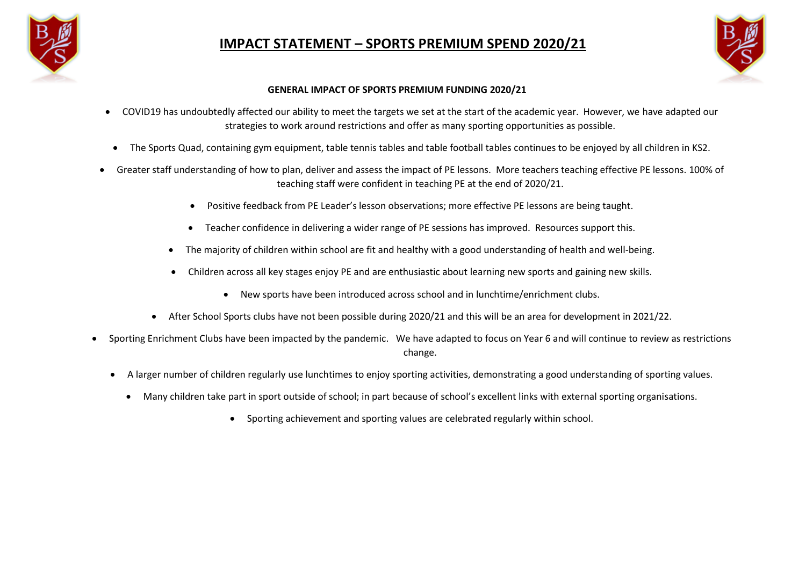



#### **GENERAL IMPACT OF SPORTS PREMIUM FUNDING 2020/21**

- COVID19 has undoubtedly affected our ability to meet the targets we set at the start of the academic year. However, we have adapted our strategies to work around restrictions and offer as many sporting opportunities as possible.
- The Sports Quad, containing gym equipment, table tennis tables and table football tables continues to be enjoyed by all children in KS2.
- Greater staff understanding of how to plan, deliver and assess the impact of PE lessons. More teachers teaching effective PE lessons. 100% of teaching staff were confident in teaching PE at the end of 2020/21.
	- Positive feedback from PE Leader's lesson observations; more effective PE lessons are being taught.
	- Teacher confidence in delivering a wider range of PE sessions has improved. Resources support this.
	- The majority of children within school are fit and healthy with a good understanding of health and well-being.
	- Children across all key stages enjoy PE and are enthusiastic about learning new sports and gaining new skills.
		- New sports have been introduced across school and in lunchtime/enrichment clubs.
	- After School Sports clubs have not been possible during 2020/21 and this will be an area for development in 2021/22.
- Sporting Enrichment Clubs have been impacted by the pandemic. We have adapted to focus on Year 6 and will continue to review as restrictions change.
	- A larger number of children regularly use lunchtimes to enjoy sporting activities, demonstrating a good understanding of sporting values.
		- Many children take part in sport outside of school; in part because of school's excellent links with external sporting organisations.
			- Sporting achievement and sporting values are celebrated regularly within school.